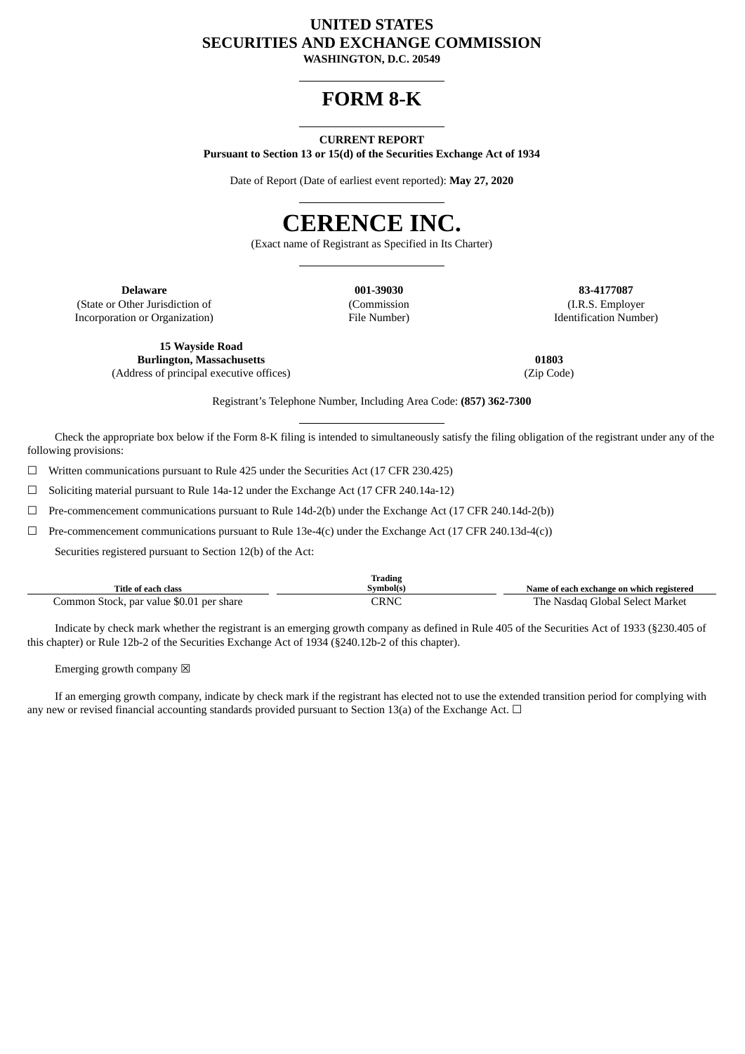# **UNITED STATES SECURITIES AND EXCHANGE COMMISSION**

**WASHINGTON, D.C. 20549**

# **FORM 8-K**

# **CURRENT REPORT**

**Pursuant to Section 13 or 15(d) of the Securities Exchange Act of 1934**

Date of Report (Date of earliest event reported): **May 27, 2020**

# **CERENCE INC.**

(Exact name of Registrant as Specified in Its Charter)

(State or Other Jurisdiction of Incorporation or Organization)

(Commission File Number)

**Delaware 001-39030 83-4177087** (I.R.S. Employer Identification Number)

**15 Wayside Road Burlington, Massachusetts** (Address of principal executive offices)

**01803** (Zip Code)

Registrant's Telephone Number, Including Area Code: **(857) 362-7300**

Check the appropriate box below if the Form 8-K filing is intended to simultaneously satisfy the filing obligation of the registrant under any of the following provisions:

☐ Written communications pursuant to Rule 425 under the Securities Act (17 CFR 230.425)

☐ Soliciting material pursuant to Rule 14a-12 under the Exchange Act (17 CFR 240.14a-12)

☐ Pre-commencement communications pursuant to Rule 14d-2(b) under the Exchange Act (17 CFR 240.14d-2(b))

 $\Box$  Pre-commencement communications pursuant to Rule 13e-4(c) under the Exchange Act (17 CFR 240.13d-4(c))

Securities registered pursuant to Section 12(b) of the Act:

| Title of each class                      | Trading<br>Svmbol(s) | Name of each exchange on which registered |
|------------------------------------------|----------------------|-------------------------------------------|
| Common Stock, par value \$0.01 per share | CRNC                 | The Nasdag Global Select Market           |

Indicate by check mark whether the registrant is an emerging growth company as defined in Rule 405 of the Securities Act of 1933 (§230.405 of this chapter) or Rule 12b-2 of the Securities Exchange Act of 1934 (§240.12b-2 of this chapter).

Emerging growth company  $\boxtimes$ 

If an emerging growth company, indicate by check mark if the registrant has elected not to use the extended transition period for complying with any new or revised financial accounting standards provided pursuant to Section 13(a) of the Exchange Act.  $\Box$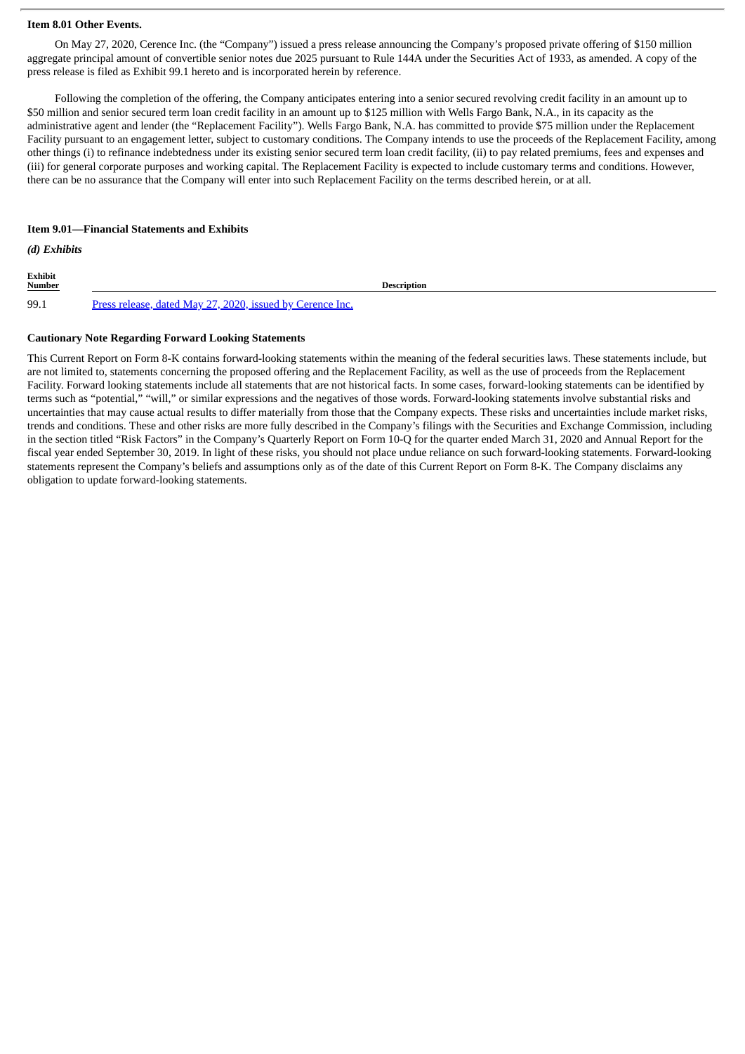# **Item 8.01 Other Events.**

On May 27, 2020, Cerence Inc. (the "Company") issued a press release announcing the Company's proposed private offering of \$150 million aggregate principal amount of convertible senior notes due 2025 pursuant to Rule 144A under the Securities Act of 1933, as amended. A copy of the press release is filed as Exhibit 99.1 hereto and is incorporated herein by reference.

Following the completion of the offering, the Company anticipates entering into a senior secured revolving credit facility in an amount up to \$50 million and senior secured term loan credit facility in an amount up to \$125 million with Wells Fargo Bank, N.A., in its capacity as the administrative agent and lender (the "Replacement Facility"). Wells Fargo Bank, N.A. has committed to provide \$75 million under the Replacement Facility pursuant to an engagement letter, subject to customary conditions. The Company intends to use the proceeds of the Replacement Facility, among other things (i) to refinance indebtedness under its existing senior secured term loan credit facility, (ii) to pay related premiums, fees and expenses and (iii) for general corporate purposes and working capital. The Replacement Facility is expected to include customary terms and conditions. However, there can be no assurance that the Company will enter into such Replacement Facility on the terms described herein, or at all.

### **Item 9.01—Financial Statements and Exhibits**

# *(d) Exhibits*

**Exhibit Description** 99.1 Press release, dated May 27, 2020, issued by [Cerence](#page-3-0) Inc.

# **Cautionary Note Regarding Forward Looking Statements**

This Current Report on Form 8-K contains forward-looking statements within the meaning of the federal securities laws. These statements include, but are not limited to, statements concerning the proposed offering and the Replacement Facility, as well as the use of proceeds from the Replacement Facility. Forward looking statements include all statements that are not historical facts. In some cases, forward-looking statements can be identified by terms such as "potential," "will," or similar expressions and the negatives of those words. Forward-looking statements involve substantial risks and uncertainties that may cause actual results to differ materially from those that the Company expects. These risks and uncertainties include market risks, trends and conditions. These and other risks are more fully described in the Company's filings with the Securities and Exchange Commission, including in the section titled "Risk Factors" in the Company's Quarterly Report on Form 10-Q for the quarter ended March 31, 2020 and Annual Report for the fiscal year ended September 30, 2019. In light of these risks, you should not place undue reliance on such forward-looking statements. Forward-looking statements represent the Company's beliefs and assumptions only as of the date of this Current Report on Form 8-K. The Company disclaims any obligation to update forward-looking statements.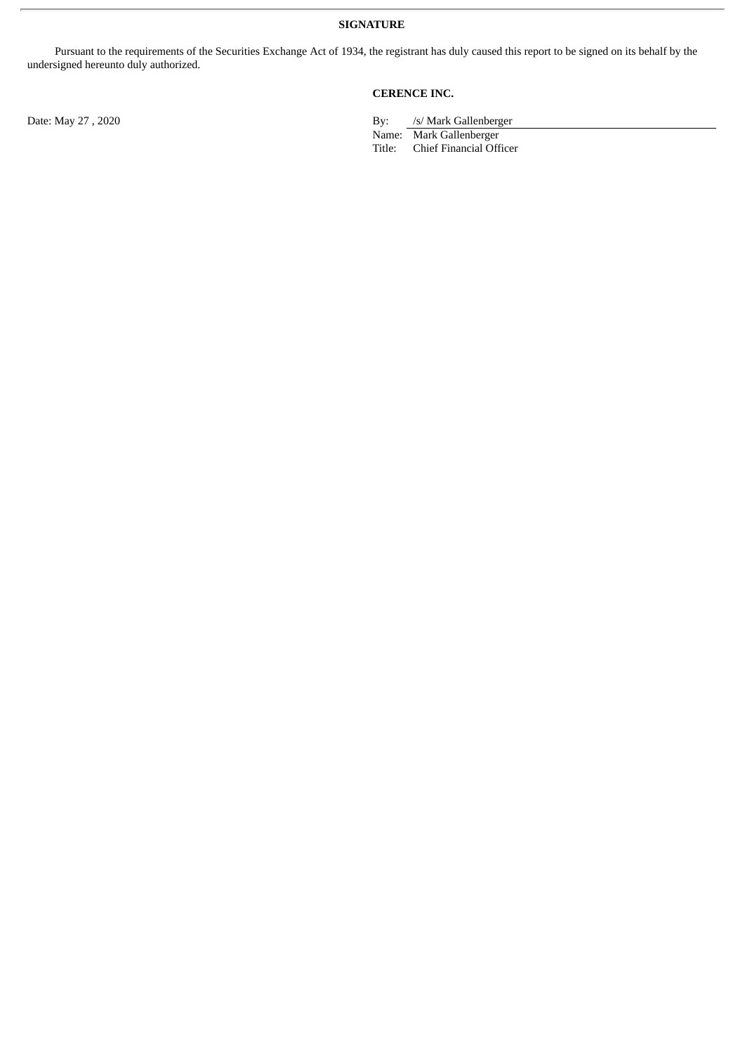Pursuant to the requirements of the Securities Exchange Act of 1934, the registrant has duly caused this report to be signed on its behalf by the undersigned hereunto duly authorized.

**CERENCE INC.**

Date: May 27, 2020 By: /s/ Mark Gallenberger

Name: Mark Gallenberger<br>Title: Chief Financial Off

Chief Financial Officer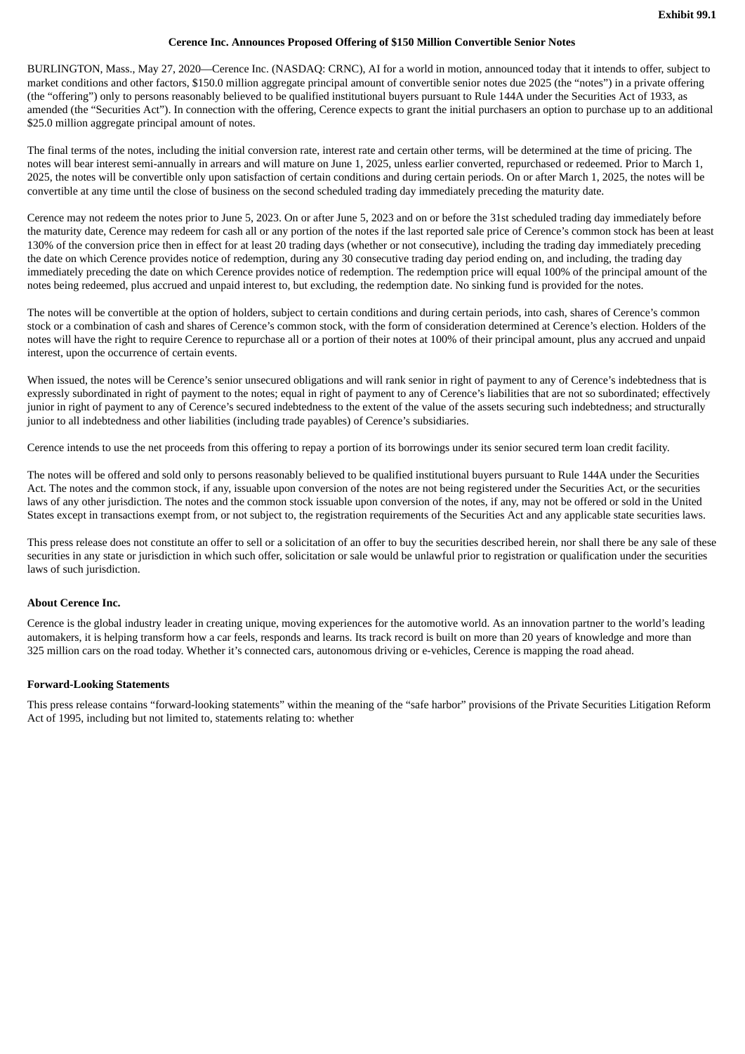# **Cerence Inc. Announces Proposed Offering of \$150 Million Convertible Senior Notes**

<span id="page-3-0"></span>BURLINGTON, Mass., May 27, 2020—Cerence Inc. (NASDAQ: CRNC), AI for a world in motion, announced today that it intends to offer, subject to market conditions and other factors, \$150.0 million aggregate principal amount of convertible senior notes due 2025 (the "notes") in a private offering (the "offering") only to persons reasonably believed to be qualified institutional buyers pursuant to Rule 144A under the Securities Act of 1933, as amended (the "Securities Act"). In connection with the offering, Cerence expects to grant the initial purchasers an option to purchase up to an additional \$25.0 million aggregate principal amount of notes.

The final terms of the notes, including the initial conversion rate, interest rate and certain other terms, will be determined at the time of pricing. The notes will bear interest semi-annually in arrears and will mature on June 1, 2025, unless earlier converted, repurchased or redeemed. Prior to March 1, 2025, the notes will be convertible only upon satisfaction of certain conditions and during certain periods. On or after March 1, 2025, the notes will be convertible at any time until the close of business on the second scheduled trading day immediately preceding the maturity date.

Cerence may not redeem the notes prior to June 5, 2023. On or after June 5, 2023 and on or before the 31st scheduled trading day immediately before the maturity date, Cerence may redeem for cash all or any portion of the notes if the last reported sale price of Cerence's common stock has been at least 130% of the conversion price then in effect for at least 20 trading days (whether or not consecutive), including the trading day immediately preceding the date on which Cerence provides notice of redemption, during any 30 consecutive trading day period ending on, and including, the trading day immediately preceding the date on which Cerence provides notice of redemption. The redemption price will equal 100% of the principal amount of the notes being redeemed, plus accrued and unpaid interest to, but excluding, the redemption date. No sinking fund is provided for the notes.

The notes will be convertible at the option of holders, subject to certain conditions and during certain periods, into cash, shares of Cerence's common stock or a combination of cash and shares of Cerence's common stock, with the form of consideration determined at Cerence's election. Holders of the notes will have the right to require Cerence to repurchase all or a portion of their notes at 100% of their principal amount, plus any accrued and unpaid interest, upon the occurrence of certain events.

When issued, the notes will be Cerence's senior unsecured obligations and will rank senior in right of payment to any of Cerence's indebtedness that is expressly subordinated in right of payment to the notes; equal in right of payment to any of Cerence's liabilities that are not so subordinated; effectively junior in right of payment to any of Cerence's secured indebtedness to the extent of the value of the assets securing such indebtedness; and structurally junior to all indebtedness and other liabilities (including trade payables) of Cerence's subsidiaries.

Cerence intends to use the net proceeds from this offering to repay a portion of its borrowings under its senior secured term loan credit facility.

The notes will be offered and sold only to persons reasonably believed to be qualified institutional buyers pursuant to Rule 144A under the Securities Act. The notes and the common stock, if any, issuable upon conversion of the notes are not being registered under the Securities Act, or the securities laws of any other jurisdiction. The notes and the common stock issuable upon conversion of the notes, if any, may not be offered or sold in the United States except in transactions exempt from, or not subject to, the registration requirements of the Securities Act and any applicable state securities laws.

This press release does not constitute an offer to sell or a solicitation of an offer to buy the securities described herein, nor shall there be any sale of these securities in any state or jurisdiction in which such offer, solicitation or sale would be unlawful prior to registration or qualification under the securities laws of such jurisdiction.

#### **About Cerence Inc.**

Cerence is the global industry leader in creating unique, moving experiences for the automotive world. As an innovation partner to the world's leading automakers, it is helping transform how a car feels, responds and learns. Its track record is built on more than 20 years of knowledge and more than 325 million cars on the road today. Whether it's connected cars, autonomous driving or e-vehicles, Cerence is mapping the road ahead.

#### **Forward-Looking Statements**

This press release contains "forward-looking statements" within the meaning of the "safe harbor" provisions of the Private Securities Litigation Reform Act of 1995, including but not limited to, statements relating to: whether